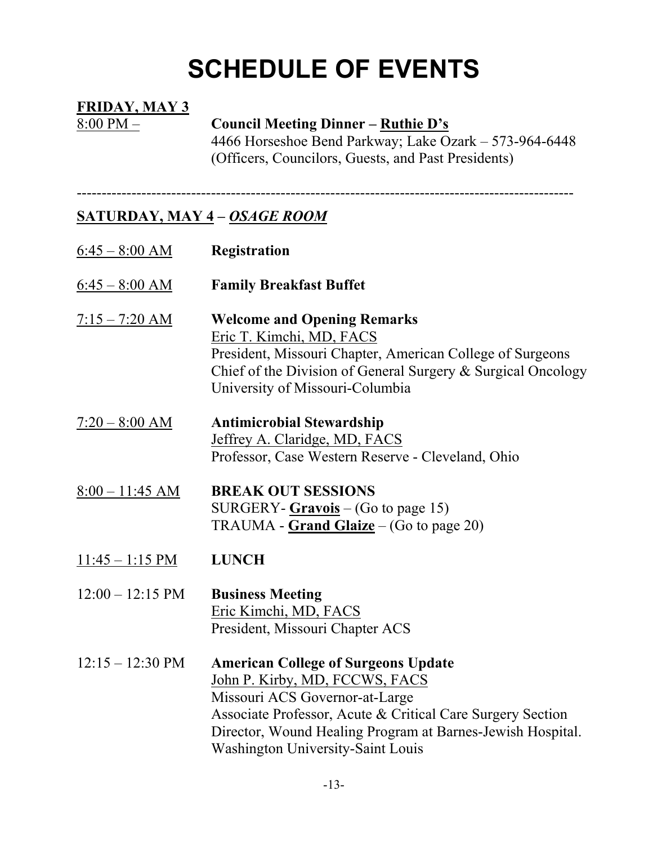# **SCHEDULE OF EVENTS**

#### **FRIDAY, MAY 3**

#### 8:00 PM – **Council Meeting Dinner – Ruthie D's**

4466 Horseshoe Bend Parkway; Lake Ozark – 573-964-6448 (Officers, Councilors, Guests, and Past Presidents)

----------------------------------------------------------------------------------------------------

### **SATURDAY, MAY 4 –** *OSAGE ROOM*

| $6:45 - 8:00$ AM           | Registration                                                                                                                                                                                                                                                                           |
|----------------------------|----------------------------------------------------------------------------------------------------------------------------------------------------------------------------------------------------------------------------------------------------------------------------------------|
| $6:45 - 8:00$ AM           | <b>Family Breakfast Buffet</b>                                                                                                                                                                                                                                                         |
| $7:15 - 7:20$ AM           | <b>Welcome and Opening Remarks</b><br>Eric T. Kimchi, MD, FACS<br>President, Missouri Chapter, American College of Surgeons<br>Chief of the Division of General Surgery & Surgical Oncology<br>University of Missouri-Columbia                                                         |
| $7:20 - 8:00$ AM           | <b>Antimicrobial Stewardship</b><br>Jeffrey A. Claridge, MD, FACS<br>Professor, Case Western Reserve - Cleveland, Ohio                                                                                                                                                                 |
| $8:00 - 11:45$ AM          | <b>BREAK OUT SESSIONS</b><br>SURGERY- $Gravois$ – (Go to page 15)<br>TRAUMA - Grand Glaize – (Go to page 20)                                                                                                                                                                           |
| $11:45 - 1:15 \text{ PM}$  | <b>LUNCH</b>                                                                                                                                                                                                                                                                           |
| $12:00 - 12:15 \text{ PM}$ | <b>Business Meeting</b><br>Eric Kimchi, MD, FACS<br>President, Missouri Chapter ACS                                                                                                                                                                                                    |
| $12:15 - 12:30 \text{ PM}$ | <b>American College of Surgeons Update</b><br>John P. Kirby, MD, FCCWS, FACS<br>Missouri ACS Governor-at-Large<br>Associate Professor, Acute & Critical Care Surgery Section<br>Director, Wound Healing Program at Barnes-Jewish Hospital.<br><b>Washington University-Saint Louis</b> |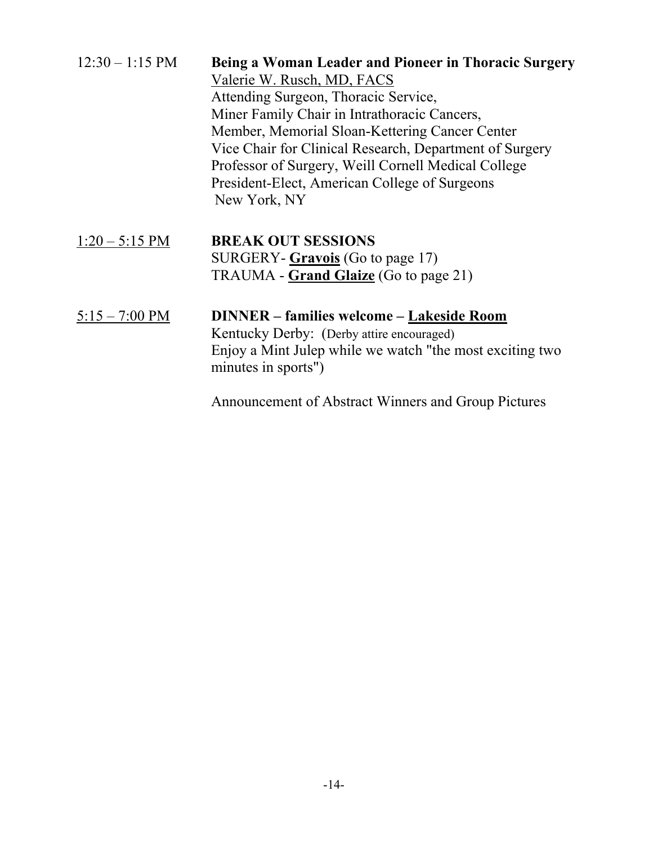| $12:30 - 1:15$ PM        | Being a Woman Leader and Pioneer in Thoracic Surgery    |
|--------------------------|---------------------------------------------------------|
|                          | Valerie W. Rusch, MD, FACS                              |
|                          | Attending Surgeon, Thoracic Service,                    |
|                          | Miner Family Chair in Intrathoracic Cancers,            |
|                          | Member, Memorial Sloan-Kettering Cancer Center          |
|                          | Vice Chair for Clinical Research, Department of Surgery |
|                          | Professor of Surgery, Weill Cornell Medical College     |
|                          | President-Elect, American College of Surgeons           |
|                          | New York, NY                                            |
| $1:20 - 5:15 \text{ PM}$ | <b>BREAK OUT SESSIONS</b>                               |
|                          | $SIRGFRV_{\text{-}}Gr$ avojs $(G_0$ to nage 17)         |

## SURGERY- **Gravois** (Go to page 17) TRAUMA - **Grand Glaize** (Go to page 21)

#### 5:15 – 7:00 PM **DINNER – families welcome – Lakeside Room** Kentucky Derby: (Derby attire encouraged) Enjoy a Mint Julep while we watch "the most exciting two minutes in sports")

Announcement of Abstract Winners and Group Pictures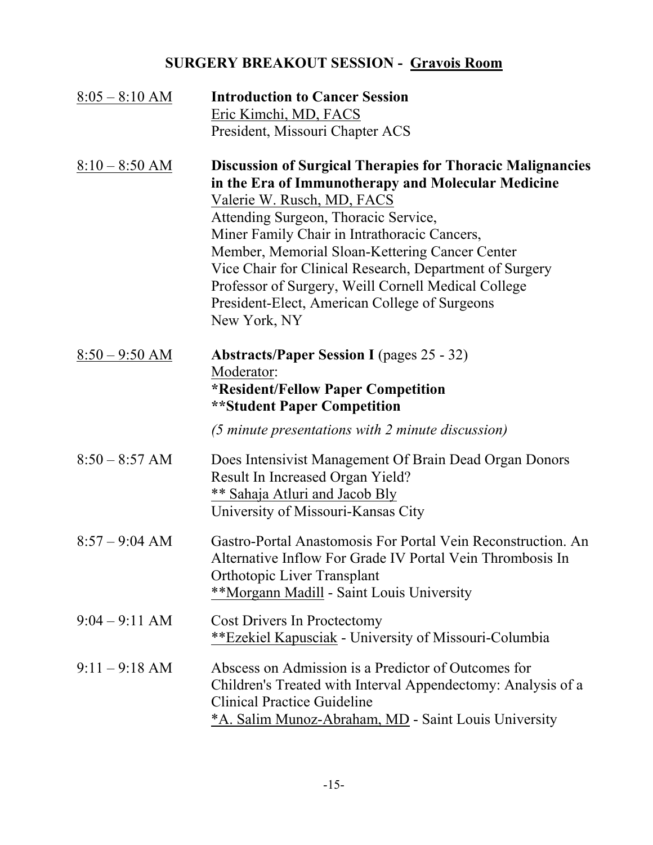## **SURGERY BREAKOUT SESSION - Gravois Room**

| $8:05 - 8:10 AM$ | <b>Introduction to Cancer Session</b><br>Eric Kimchi, MD, FACS<br>President, Missouri Chapter ACS                                                                                                                                                                                                                                                                                                                                                                                  |
|------------------|------------------------------------------------------------------------------------------------------------------------------------------------------------------------------------------------------------------------------------------------------------------------------------------------------------------------------------------------------------------------------------------------------------------------------------------------------------------------------------|
| $8:10 - 8:50$ AM | <b>Discussion of Surgical Therapies for Thoracic Malignancies</b><br>in the Era of Immunotherapy and Molecular Medicine<br>Valerie W. Rusch, MD, FACS<br>Attending Surgeon, Thoracic Service,<br>Miner Family Chair in Intrathoracic Cancers,<br>Member, Memorial Sloan-Kettering Cancer Center<br>Vice Chair for Clinical Research, Department of Surgery<br>Professor of Surgery, Weill Cornell Medical College<br>President-Elect, American College of Surgeons<br>New York, NY |
| $8:50 - 9:50$ AM | <b>Abstracts/Paper Session I</b> (pages 25 - 32)<br>Moderator:<br><i><b>*Resident/Fellow Paper Competition</b></i><br><b>**Student Paper Competition</b>                                                                                                                                                                                                                                                                                                                           |
|                  | (5 minute presentations with 2 minute discussion)                                                                                                                                                                                                                                                                                                                                                                                                                                  |
| $8:50 - 8:57$ AM | Does Intensivist Management Of Brain Dead Organ Donors<br>Result In Increased Organ Yield?<br><b>** Sahaja Atluri and Jacob Bly</b><br>University of Missouri-Kansas City                                                                                                                                                                                                                                                                                                          |
| $8:57 - 9:04$ AM | Gastro-Portal Anastomosis For Portal Vein Reconstruction. An<br>Alternative Inflow For Grade IV Portal Vein Thrombosis In<br><b>Orthotopic Liver Transplant</b><br>**Morgann Madill - Saint Louis University                                                                                                                                                                                                                                                                       |
| $9:04 - 9:11$ AM | <b>Cost Drivers In Proctectomy</b><br><b>**Ezekiel Kapusciak</b> - University of Missouri-Columbia                                                                                                                                                                                                                                                                                                                                                                                 |
| $9:11 - 9:18$ AM | Abscess on Admission is a Predictor of Outcomes for<br>Children's Treated with Interval Appendectomy: Analysis of a<br><b>Clinical Practice Guideline</b><br><u>*A. Salim Munoz-Abraham, MD</u> - Saint Louis University                                                                                                                                                                                                                                                           |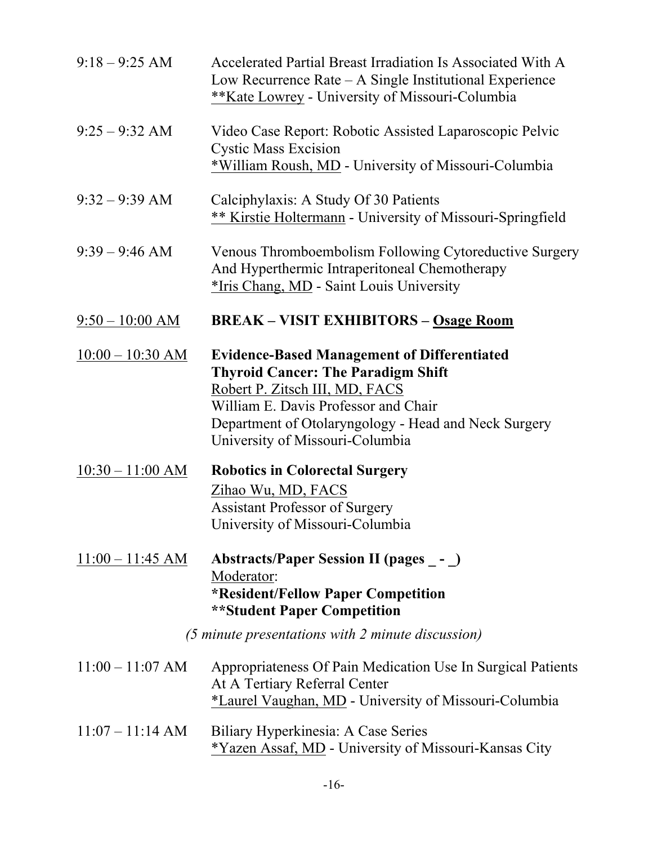| $9:18 - 9:25$ AM                                                                     | Accelerated Partial Breast Irradiation Is Associated With A<br>Low Recurrence Rate – A Single Institutional Experience<br>**Kate Lowrey - University of Missouri-Columbia                                                                                            |
|--------------------------------------------------------------------------------------|----------------------------------------------------------------------------------------------------------------------------------------------------------------------------------------------------------------------------------------------------------------------|
| $9:25 - 9:32$ AM                                                                     | Video Case Report: Robotic Assisted Laparoscopic Pelvic<br><b>Cystic Mass Excision</b><br>*William Roush, MD - University of Missouri-Columbia                                                                                                                       |
| $9:32 - 9:39$ AM                                                                     | Calciphylaxis: A Study Of 30 Patients<br>** Kirstie Holtermann - University of Missouri-Springfield                                                                                                                                                                  |
| $9:39 - 9:46$ AM                                                                     | Venous Thromboembolism Following Cytoreductive Surgery<br>And Hyperthermic Intraperitoneal Chemotherapy<br>*Iris Chang, MD - Saint Louis University                                                                                                                  |
| $9:50 - 10:00$ AM                                                                    | <b>BREAK – VISIT EXHIBITORS – Osage Room</b>                                                                                                                                                                                                                         |
| $10:00 - 10:30$ AM                                                                   | <b>Evidence-Based Management of Differentiated</b><br><b>Thyroid Cancer: The Paradigm Shift</b><br>Robert P. Zitsch III, MD, FACS<br>William E. Davis Professor and Chair<br>Department of Otolaryngology - Head and Neck Surgery<br>University of Missouri-Columbia |
| $10:30 - 11:00 AM$                                                                   | <b>Robotics in Colorectal Surgery</b><br>Zihao Wu, MD, FACS<br><b>Assistant Professor of Surgery</b><br>University of Missouri-Columbia                                                                                                                              |
| $11:00 - 11:45$ AM                                                                   | Abstracts/Paper Session II (pages _- _)<br>Moderator:<br>*Resident/Fellow Paper Competition<br><b>**Student Paper Competition</b>                                                                                                                                    |
| $(5 \text{ minute} \text{ presentations with } 2 \text{ minute} \text{ discussion})$ |                                                                                                                                                                                                                                                                      |
| $11:00 - 11:07$ AM                                                                   | Appropriateness Of Pain Medication Use In Surgical Patients<br>At A Tertiary Referral Center<br>*Laurel Vaughan, MD - University of Missouri-Columbia                                                                                                                |
| $11:07 - 11:14 AM$                                                                   | Biliary Hyperkinesia: A Case Series<br>*Yazen Assaf, MD - University of Missouri-Kansas City                                                                                                                                                                         |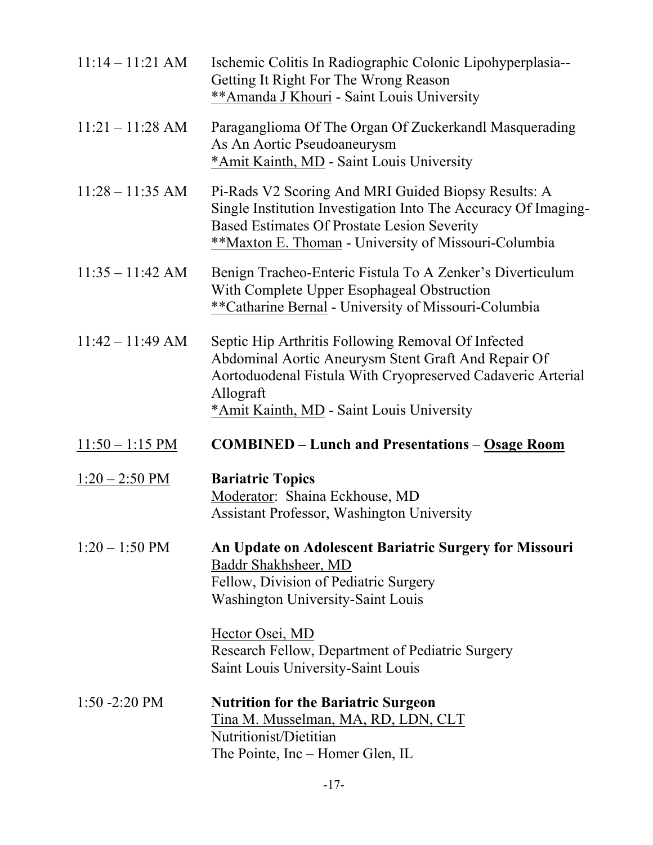| $11:14 - 11:21$ AM       | Ischemic Colitis In Radiographic Colonic Lipohyperplasia--<br>Getting It Right For The Wrong Reason<br>** Amanda J Khouri - Saint Louis University                                                                                         |
|--------------------------|--------------------------------------------------------------------------------------------------------------------------------------------------------------------------------------------------------------------------------------------|
| $11:21 - 11:28$ AM       | Paraganglioma Of The Organ Of Zuckerkandl Masquerading<br>As An Aortic Pseudoaneurysm<br>*Amit Kainth, MD - Saint Louis University                                                                                                         |
| $11:28 - 11:35$ AM       | Pi-Rads V2 Scoring And MRI Guided Biopsy Results: A<br>Single Institution Investigation Into The Accuracy Of Imaging-<br><b>Based Estimates Of Prostate Lesion Severity</b><br>**Maxton E. Thoman - University of Missouri-Columbia        |
| $11:35 - 11:42$ AM       | Benign Tracheo-Enteric Fistula To A Zenker's Diverticulum<br>With Complete Upper Esophageal Obstruction<br>**Catharine Bernal - University of Missouri-Columbia                                                                            |
| $11:42 - 11:49$ AM       | Septic Hip Arthritis Following Removal Of Infected<br>Abdominal Aortic Aneurysm Stent Graft And Repair Of<br>Aortoduodenal Fistula With Cryopreserved Cadaveric Arterial<br>Allograft<br>*Amit Kainth, MD - Saint Louis University         |
| $11:50 - 1:15 PM$        | <b>COMBINED</b> – Lunch and Presentations – Osage Room                                                                                                                                                                                     |
| $1:20 - 2:50 \text{ PM}$ | <b>Bariatric Topics</b><br>Moderator: Shaina Eckhouse, MD<br>Assistant Professor, Washington University                                                                                                                                    |
| $1:20 - 1:50 \text{ PM}$ | An Update on Adolescent Bariatric Surgery for Missouri<br>Baddr Shakhsheer, MD<br>Fellow, Division of Pediatric Surgery<br><b>Washington University-Saint Louis</b><br>Hector Osei, MD<br>Research Fellow, Department of Pediatric Surgery |
|                          | Saint Louis University-Saint Louis                                                                                                                                                                                                         |
| $1:50 - 2:20 \text{ PM}$ | <b>Nutrition for the Bariatric Surgeon</b><br>Tina M. Musselman, MA, RD, LDN, CLT<br>Nutritionist/Dietitian<br>The Pointe, Inc – Homer Glen, IL                                                                                            |

-17-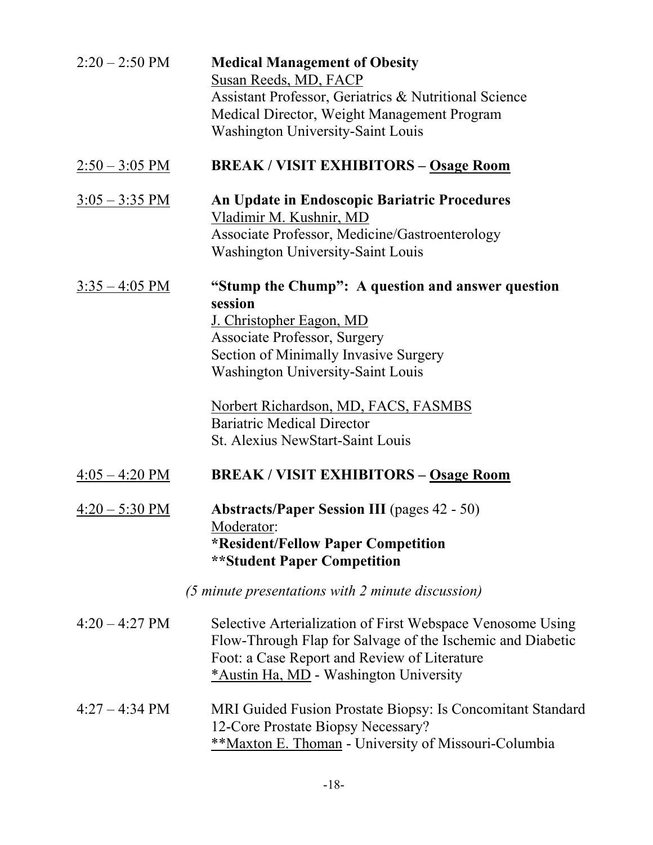| $2:20 - 2:50 \text{ PM}$ | <b>Medical Management of Obesity</b><br>Susan Reeds, MD, FACP<br>Assistant Professor, Geriatrics & Nutritional Science<br>Medical Director, Weight Management Program<br><b>Washington University-Saint Louis</b>                                                                                                                            |
|--------------------------|----------------------------------------------------------------------------------------------------------------------------------------------------------------------------------------------------------------------------------------------------------------------------------------------------------------------------------------------|
| $2:50 - 3:05 \text{ PM}$ | <b>BREAK/VISIT EXHIBITORS - Osage Room</b>                                                                                                                                                                                                                                                                                                   |
| $3:05 - 3:35 \text{ PM}$ | <b>An Update in Endoscopic Bariatric Procedures</b><br>Vladimir M. Kushnir, MD<br>Associate Professor, Medicine/Gastroenterology<br><b>Washington University-Saint Louis</b>                                                                                                                                                                 |
| $3:35 - 4:05 \text{ PM}$ | "Stump the Chump": A question and answer question<br>session<br>J. Christopher Eagon, MD<br><b>Associate Professor, Surgery</b><br>Section of Minimally Invasive Surgery<br><b>Washington University-Saint Louis</b><br>Norbert Richardson, MD, FACS, FASMBS<br><b>Bariatric Medical Director</b><br><b>St. Alexius NewStart-Saint Louis</b> |
| $4:05 - 4:20 \text{ PM}$ | <b>BREAK/VISIT EXHIBITORS - Osage Room</b>                                                                                                                                                                                                                                                                                                   |
| $4:20 - 5:30 \text{ PM}$ | <b>Abstracts/Paper Session III (pages 42 - 50)</b><br>Moderator:<br><b>*Resident/Fellow Paper Competition</b><br><b>**Student Paper Competition</b>                                                                                                                                                                                          |
|                          | (5 minute presentations with 2 minute discussion)                                                                                                                                                                                                                                                                                            |
| $4:20 - 4:27 \text{ PM}$ | Selective Arterialization of First Webspace Venosome Using<br>Flow-Through Flap for Salvage of the Ischemic and Diabetic<br>Foot: a Case Report and Review of Literature<br>*Austin Ha, MD - Washington University                                                                                                                           |
| $4:27 - 4:34 \text{ PM}$ | MRI Guided Fusion Prostate Biopsy: Is Concomitant Standard<br>12-Core Prostate Biopsy Necessary?<br><b>**Maxton E. Thoman - University of Missouri-Columbia</b>                                                                                                                                                                              |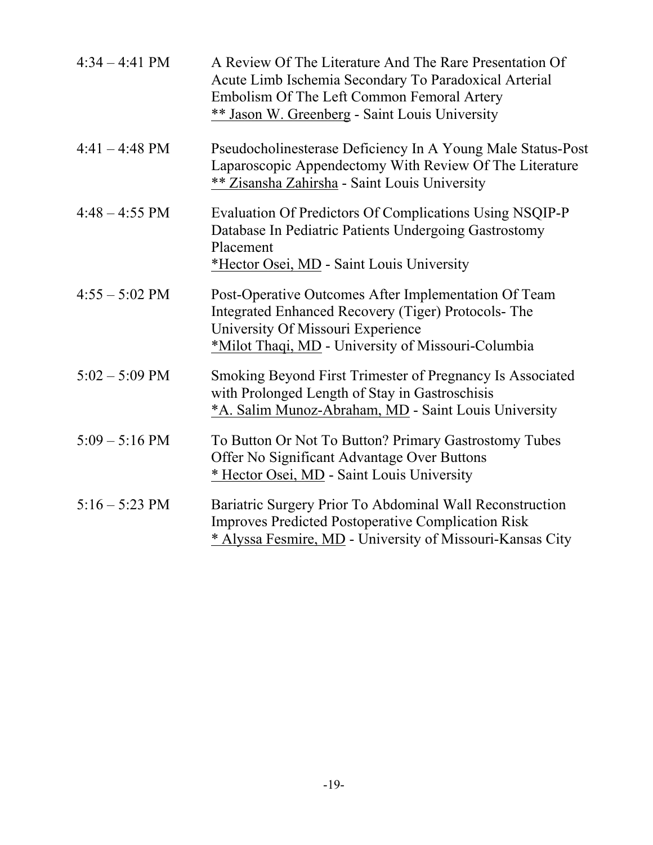| $4:34 - 4:41$ PM         | A Review Of The Literature And The Rare Presentation Of<br>Acute Limb Ischemia Secondary To Paradoxical Arterial<br>Embolism Of The Left Common Femoral Artery<br>** Jason W. Greenberg - Saint Louis University |
|--------------------------|------------------------------------------------------------------------------------------------------------------------------------------------------------------------------------------------------------------|
| $4:41 - 4:48 \text{ PM}$ | Pseudocholinesterase Deficiency In A Young Male Status-Post<br>Laparoscopic Appendectomy With Review Of The Literature<br>** Zisansha Zahirsha - Saint Louis University                                          |
| $4:48 - 4:55 \text{ PM}$ | Evaluation Of Predictors Of Complications Using NSQIP-P<br>Database In Pediatric Patients Undergoing Gastrostomy<br>Placement<br>*Hector Osei, MD - Saint Louis University                                       |
| $4:55 - 5:02$ PM         | Post-Operative Outcomes After Implementation Of Team<br>Integrated Enhanced Recovery (Tiger) Protocols-The<br>University Of Missouri Experience<br>*Milot Thaqi, MD - University of Missouri-Columbia            |
| $5:02 - 5:09$ PM         | Smoking Beyond First Trimester of Pregnancy Is Associated<br>with Prolonged Length of Stay in Gastroschisis<br>*A. Salim Munoz-Abraham, MD - Saint Louis University                                              |
| $5:09 - 5:16$ PM         | To Button Or Not To Button? Primary Gastrostomy Tubes<br>Offer No Significant Advantage Over Buttons<br>* Hector Osei, MD - Saint Louis University                                                               |
| $5:16 - 5:23$ PM         | Bariatric Surgery Prior To Abdominal Wall Reconstruction<br><b>Improves Predicted Postoperative Complication Risk</b><br>* Alyssa Fesmire, MD - University of Missouri-Kansas City                               |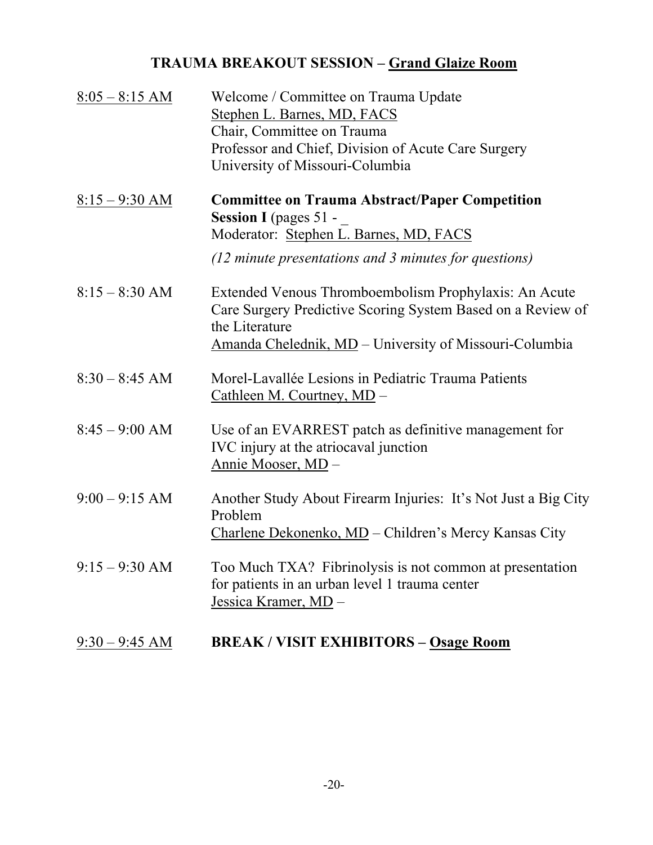# **TRAUMA BREAKOUT SESSION – Grand Glaize Room**

| $8:05 - 8:15$ AM | Welcome / Committee on Trauma Update<br>Stephen L. Barnes, MD, FACS<br>Chair, Committee on Trauma<br>Professor and Chief, Division of Acute Care Surgery<br>University of Missouri-Columbia                          |
|------------------|----------------------------------------------------------------------------------------------------------------------------------------------------------------------------------------------------------------------|
| $8:15 - 9:30$ AM | <b>Committee on Trauma Abstract/Paper Competition</b><br>Session I (pages 51 -<br>Moderator: Stephen L. Barnes, MD, FACS<br>$(12 \text{ minute} \text{ presentations and } 3 \text{ minutes} \text{ for questions})$ |
| $8:15 - 8:30$ AM | Extended Venous Thromboembolism Prophylaxis: An Acute<br>Care Surgery Predictive Scoring System Based on a Review of<br>the Literature<br>Amanda Chelednik, MD – University of Missouri-Columbia                     |
| $8:30 - 8:45$ AM | Morel-Lavallée Lesions in Pediatric Trauma Patients<br>Cathleen M. Courtney, MD -                                                                                                                                    |
| $8:45 - 9:00$ AM | Use of an EVARREST patch as definitive management for<br>IVC injury at the atriocaval junction<br>Annie Mooser, MD-                                                                                                  |
| $9:00 - 9:15$ AM | Another Study About Firearm Injuries: It's Not Just a Big City<br>Problem<br>Charlene Dekonenko, MD – Children's Mercy Kansas City                                                                                   |
| $9:15 - 9:30$ AM | Too Much TXA? Fibrinolysis is not common at presentation<br>for patients in an urban level 1 trauma center<br>Jessica Kramer, MD -                                                                                   |
| $9:30 - 9:45$ AM | <b>BREAK/VISIT EXHIBITORS - Osage Room</b>                                                                                                                                                                           |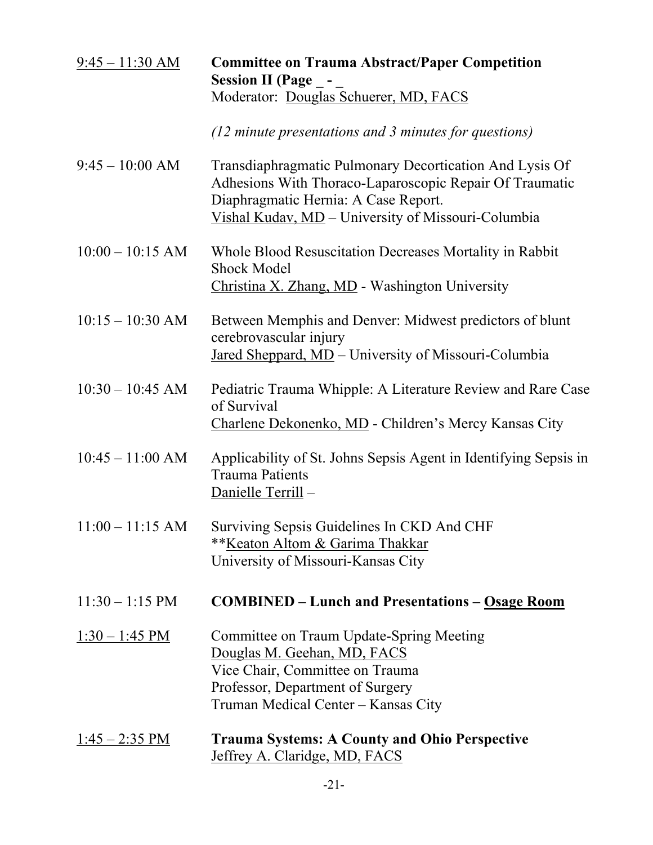| $9:45 - 11:30$ AM         | <b>Committee on Trauma Abstract/Paper Competition</b><br><b>Session II (Page _-</b><br>Moderator: Douglas Schuerer, MD, FACS                                                                                     |
|---------------------------|------------------------------------------------------------------------------------------------------------------------------------------------------------------------------------------------------------------|
|                           |                                                                                                                                                                                                                  |
|                           | $(12 \text{ minute} \text{ presentations and } 3 \text{ minutes} \text{ for questions})$                                                                                                                         |
| $9:45 - 10:00$ AM         | Transdiaphragmatic Pulmonary Decortication And Lysis Of<br>Adhesions With Thoraco-Laparoscopic Repair Of Traumatic<br>Diaphragmatic Hernia: A Case Report.<br>Vishal Kudav, MD - University of Missouri-Columbia |
| $10:00 - 10:15$ AM        | Whole Blood Resuscitation Decreases Mortality in Rabbit<br><b>Shock Model</b><br>Christina X. Zhang, MD - Washington University                                                                                  |
|                           |                                                                                                                                                                                                                  |
| $10:15 - 10:30$ AM        | Between Memphis and Denver: Midwest predictors of blunt<br>cerebrovascular injury<br>Jared Sheppard, MD - University of Missouri-Columbia                                                                        |
| $10:30 - 10:45$ AM        | Pediatric Trauma Whipple: A Literature Review and Rare Case<br>of Survival<br>Charlene Dekonenko, MD - Children's Mercy Kansas City                                                                              |
| $10:45 - 11:00$ AM        | Applicability of St. Johns Sepsis Agent in Identifying Sepsis in<br><b>Trauma Patients</b><br>Danielle Terrill-                                                                                                  |
| $11:00 - 11:15$ AM        | Surviving Sepsis Guidelines In CKD And CHF<br>**Keaton Altom & Garima Thakkar<br>University of Missouri-Kansas City                                                                                              |
| $11:30 - 1:15 \text{ PM}$ | <b>COMBINED</b> – Lunch and Presentations – Osage Room                                                                                                                                                           |
| $1:30 - 1:45$ PM          | Committee on Traum Update-Spring Meeting<br>Douglas M. Geehan, MD, FACS<br>Vice Chair, Committee on Trauma<br>Professor, Department of Surgery<br>Truman Medical Center - Kansas City                            |
| $1:45 - 2:35 \text{ PM}$  | <b>Trauma Systems: A County and Ohio Perspective</b><br>Jeffrey A. Claridge, MD, FACS                                                                                                                            |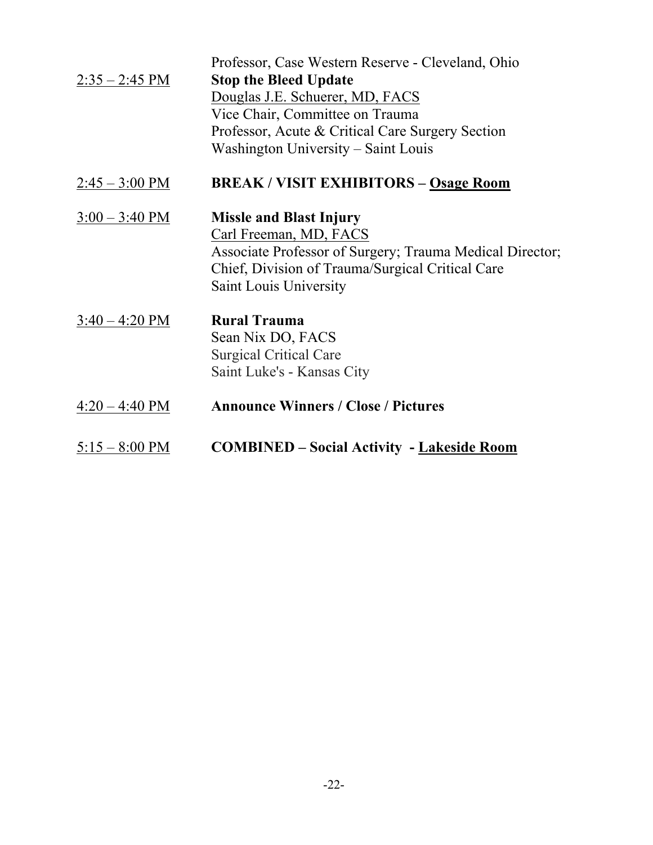|                          | Professor, Case Western Reserve - Cleveland, Ohio        |
|--------------------------|----------------------------------------------------------|
| $2:35 - 2:45$ PM         | <b>Stop the Bleed Update</b>                             |
|                          | Douglas J.E. Schuerer, MD, FACS                          |
|                          | Vice Chair, Committee on Trauma                          |
|                          | Professor, Acute & Critical Care Surgery Section         |
|                          | Washington University – Saint Louis                      |
| $2:45 - 3:00 \text{ PM}$ | <b>BREAK/VISIT EXHIBITORS - Osage Room</b>               |
| $3:00 - 3:40 \text{ PM}$ | <b>Missle and Blast Injury</b>                           |
|                          | Carl Freeman, MD, FACS                                   |
|                          | Associate Professor of Surgery; Trauma Medical Director; |
|                          | Chief, Division of Trauma/Surgical Critical Care         |
|                          | Saint Louis University                                   |
| $3:40 - 4:20 \text{ PM}$ | <b>Rural Trauma</b>                                      |
|                          | Sean Nix DO, FACS                                        |
|                          | <b>Surgical Critical Care</b>                            |
|                          | Saint Luke's - Kansas City                               |
| $4:20 - 4:40 \text{ PM}$ | <b>Announce Winners / Close / Pictures</b>               |
| $5:15 - 8:00 \text{ PM}$ | <b>COMBINED – Social Activity - Lakeside Room</b>        |